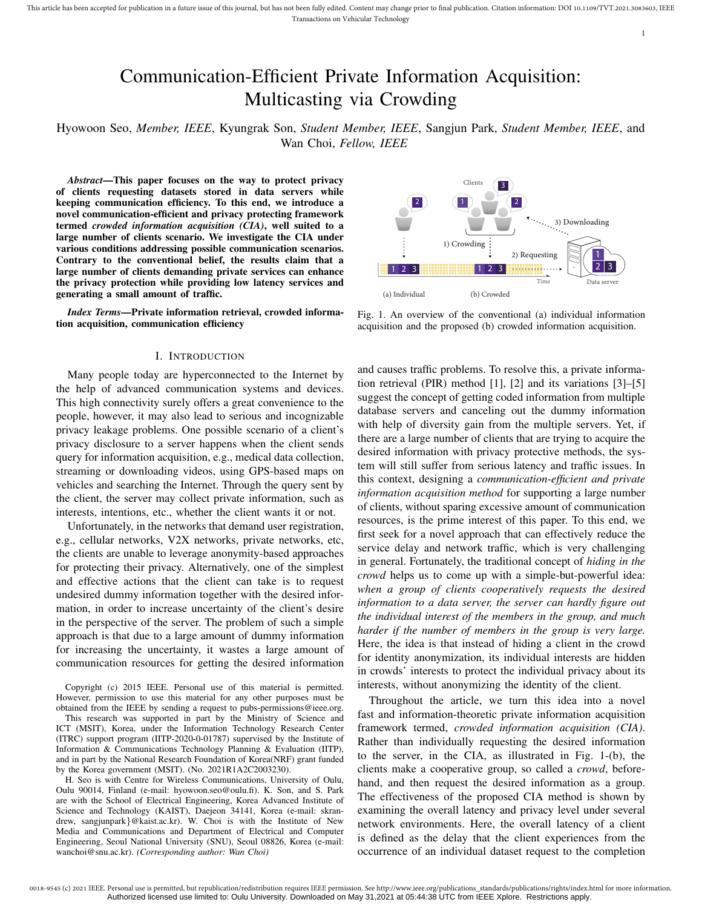# Communication-Efficient Private Information Acquisition: Multicasting via Crowding

Hyowoon Seo, *Member, IEEE*, Kyungrak Son, *Student Member, IEEE*, Sangjun Park, *Student Member, IEEE*, and Wan Choi, *Fellow, IEEE*

*Abstract*—This paper focuses on the way to protect privacy of clients requesting datasets stored in data servers while keeping communication efficiency. To this end, we introduce a novel communication-efficient and privacy protecting framework termed *crowded information acquisition (CIA)*, well suited to a large number of clients scenario. We investigate the CIA under various conditions addressing possible communication scenarios. Contrary to the conventional belief, the results claim that a large number of clients demanding private services can enhance the privacy protection while providing low latency services and generating a small amount of traffic.

*Index Terms*—Private information retrieval, crowded information acquisition, communication efficiency

#### I. INTRODUCTION

Many people today are hyperconnected to the Internet by the help of advanced communication systems and devices. This high connectivity surely offers a great convenience to the people, however, it may also lead to serious and incognizable privacy leakage problems. One possible scenario of a client's privacy disclosure to a server happens when the client sends query for information acquisition, e.g., medical data collection, streaming or downloading videos, using GPS-based maps on vehicles and searching the Internet. Through the query sent by the client, the server may collect private information, such as interests, intentions, etc., whether the client wants it or not.

Unfortunately, in the networks that demand user registration, e.g., cellular networks, V2X networks, private networks, etc, the clients are unable to leverage anonymity-based approaches for protecting their privacy. Alternatively, one of the simplest and effective actions that the client can take is to request undesired dummy information together with the desired information, in order to increase uncertainty of the client's desire in the perspective of the server. The problem of such a simple approach is that due to a large amount of dummy information for increasing the uncertainty, it wastes a large amount of communication resources for getting the desired information

Copyright (c) 2015 IEEE. Personal use of this material is permitted. However, permission to use this material for any other purposes must be obtained from the IEEE by sending a request to pubs-permissions@ieee.org.

This research was supported in part by the Ministry of Science and ICT (MSIT), Korea, under the Information Technology Research Center (ITRC) support program (IITP-2020-0-01787) supervised by the Institute of Information & Communications Technology Planning & Evaluation (IITP), and in part by the National Research Foundation of Korea(NRF) grant funded by the Korea government (MSIT). (No. 2021R1A2C2003230).

H. Seo is with Centre for Wireless Communications, University of Oulu, Oulu 90014, Finland (e-mail: hyowoon.seo@oulu.fi). K. Son, and S. Park are with the School of Electrical Engineering, Korea Advanced Institute of Science and Technology (KAIST), Daejeon 34141, Korea (e-mail: skrandrew, sangjunpark}@kaist.ac.kr). W. Choi is with the Institute of New Media and Communications and Department of Electrical and Computer Engineering, Seoul National University (SNU), Seoul 08826, Korea (e-mail:



Fig. 1. An overview of the conventional (a) individual information acquisition and the proposed (b) crowded information acquisition.

Targe number of cliential of private services can enhance the spin of the streets correction while providing law latency services and<br> *Index Terms*—Private information retrieved, crowded informa-<br> *Corresponding authoriti* and causes traffic problems. To resolve this, a private information retrieval (PIR) method [1], [2] and its variations [3]–[5] suggest the concept of getting coded information from multiple database servers and canceling out the dummy information with help of diversity gain from the multiple servers. Yet, if there are a large number of clients that are trying to acquire the desired information with privacy protective methods, the system will still suffer from serious latency and traffic issues. In this context, designing a *communication-efficient and private information acquisition method* for supporting a large number of clients, without sparing excessive amount of communication resources, is the prime interest of this paper. To this end, we first seek for a novel approach that can effectively reduce the service delay and network traffic, which is very challenging in general. Fortunately, the traditional concept of *hiding in the crowd* helps us to come up with a simple-but-powerful idea: *when a group of clients cooperatively requests the desired information to a data server, the server can hardly figure out the individual interest of the members in the group, and much harder if the number of members in the group is very large.* Here, the idea is that instead of hiding a client in the crowd for identity anonymization, its individual interests are hidden in crowds' interests to protect the individual privacy about its interests, without anonymizing the identity of the client.

Throughout the article, we turn this idea into a novel fast and information-theoretic private information acquisition framework termed, *crowded information acquisition (CIA)*. Rather than individually requesting the desired information to the server, in the CIA, as illustrated in Fig. 1-(b), the clients make a cooperative group, so called a *crowd*, beforehand, and then request the desired information as a group. The effectiveness of the proposed CIA method is shown by examining the overall latency and privacy level under several network environments. Here, the overall latency of a client is defined as the delay that the client experiences from the occurrence of an individual dataset request to the completion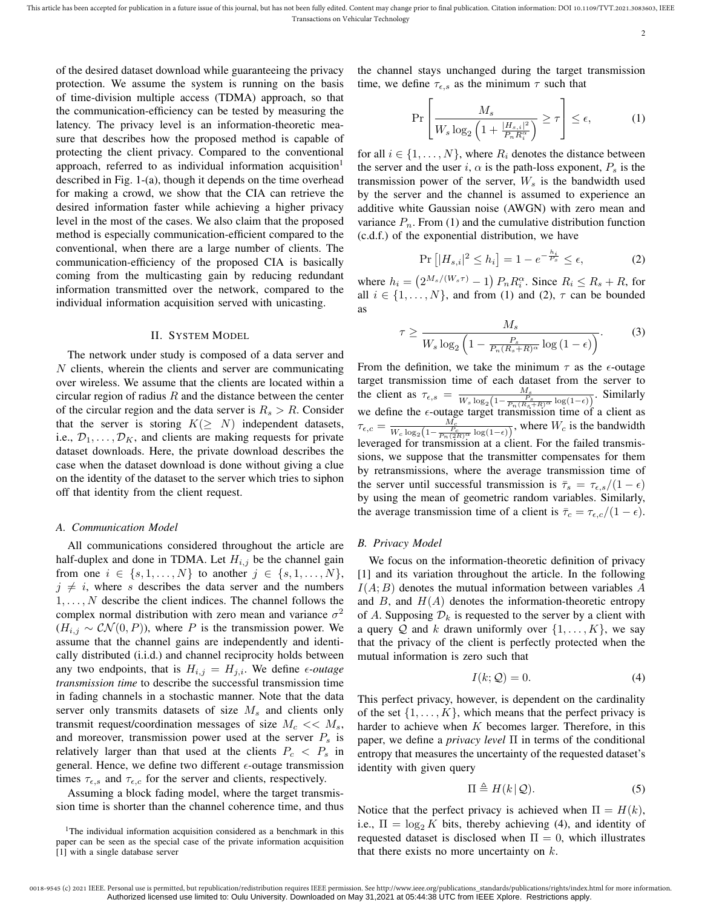of the desired dataset download while guaranteeing the privacy protection. We assume the system is running on the basis of time-division multiple access (TDMA) approach, so that the communication-efficiency can be tested by measuring the latency. The privacy level is an information-theoretic measure that describes how the proposed method is capable of protecting the client privacy. Compared to the conventional approach, referred to as individual information acquisition $<sup>1</sup>$ </sup> described in Fig. 1-(a), though it depends on the time overhead for making a crowd, we show that the CIA can retrieve the desired information faster while achieving a higher privacy level in the most of the cases. We also claim that the proposed method is especially communication-efficient compared to the conventional, when there are a large number of clients. The communication-efficiency of the proposed CIA is basically coming from the multicasting gain by reducing redundant information transmitted over the network, compared to the individual information acquisition served with unicasting.

#### II. SYSTEM MODEL

The network under study is composed of a data server and N clients, wherein the clients and server are communicating over wireless. We assume that the clients are located within a circular region of radius  $R$  and the distance between the center of the circular region and the data server is  $R_s > R$ . Consider that the server is storing  $K(\geq N)$  independent datasets, i.e.,  $\mathcal{D}_1, \ldots, \mathcal{D}_K$ , and clients are making requests for private dataset downloads. Here, the private download describes the case when the dataset download is done without giving a clue on the identity of the dataset to the server which tries to siphon off that identity from the client request.

#### *A. Communication Model*

All communications considered throughout the article are half-duplex and done in TDMA. Let  $H_{i,j}$  be the channel gain from one  $i \in \{s, 1, ..., N\}$  to another  $j \in \{s, 1, ..., N\}$ ,  $j \neq i$ , where s describes the data server and the numbers  $1, \ldots, N$  describe the client indices. The channel follows the complex normal distribution with zero mean and variance  $\sigma^2$  $(H_{i,j} \sim \mathcal{CN}(0, P))$ , where P is the transmission power. We assume that the channel gains are independently and identically distributed (i.i.d.) and channel reciprocity holds between any two endpoints, that is  $H_{i,j} = H_{j,i}$ . We define  $\epsilon$ -outage *transmission time* to describe the successful transmission time in fading channels in a stochastic manner. Note that the data server only transmits datasets of size  $M_s$  and clients only transmit request/coordination messages of size  $M_c \ll M_s$ , and moreover, transmission power used at the server  $P_s$  is relatively larger than that used at the clients  $P_c < P_s$  in general. Hence, we define two different  $\epsilon$ -outage transmission times  $\tau_{\epsilon,s}$  and  $\tau_{\epsilon,c}$  for the server and clients, respectively.

Assuming a block fading model, where the target transmission time is shorter than the channel coherence time, and thus the channel stays unchanged during the target transmission time, we define  $\tau_{\epsilon,s}$  as the minimum  $\tau$  such that

$$
\Pr\left[\frac{M_s}{W_s \log_2\left(1 + \frac{|H_{s,i}|^2}{P_n R_i^{\alpha}}\right)} \ge \tau\right] \le \epsilon,\tag{1}
$$

for all  $i \in \{1, \ldots, N\}$ , where  $R_i$  denotes the distance between the server and the user i,  $\alpha$  is the path-loss exponent,  $P_s$  is the transmission power of the server,  $W_s$  is the bandwidth used by the server and the channel is assumed to experience an additive white Gaussian noise (AWGN) with zero mean and variance  $P_n$ . From (1) and the cumulative distribution function (c.d.f.) of the exponential distribution, we have

$$
\Pr\left[|H_{s,i}|^2 \le h_i\right] = 1 - e^{-\frac{h_i}{P_s}} \le \epsilon,\tag{2}
$$

where  $h_i = \left(2^{M_s/(W_s \tau)} - 1\right) P_n R_i^{\alpha}$ . Since  $R_i \le R_s + R$ , for all  $i \in \{1, \ldots, N\}$ , and from (1) and (2),  $\tau$  can be bounded as

$$
\tau \ge \frac{M_s}{W_s \log_2 \left(1 - \frac{P_s}{P_n (R_s + R)^\alpha} \log \left(1 - \epsilon\right)\right)}.\tag{3}
$$

From the definition, we take the minimum  $\tau$  as the  $\epsilon$ -outage target transmission time of each dataset from the server to the client as  $\tau_{\epsilon,s} = \frac{M_s}{W_s \log_2(1 - \frac{P_s}{P_n(R_s + R)^\alpha} \log(1-\epsilon))}$ . Similarly we define the  $\epsilon$ -outage target transmission time of a client as  $\tau_{\epsilon,c} = \frac{M_c}{W_c \log_2\left(1 - \frac{P_c}{P_n(2R)\alpha} \log(1 - \epsilon)\right)}$ , where  $W_c$  is the bandwidth leveraged for transmission at a client. For the failed transmissions, we suppose that the transmitter compensates for them by retransmissions, where the average transmission time of the server until successful transmission is  $\bar{\tau}_s = \tau_{\epsilon,s}/(1-\epsilon)$ by using the mean of geometric random variables. Similarly, the average transmission time of a client is  $\bar{\tau}_c = \tau_{\epsilon,c}/(1 - \epsilon)$ .

## *B. Privacy Model*

We focus on the information-theoretic definition of privacy [1] and its variation throughout the article. In the following  $I(A; B)$  denotes the mutual information between variables A and  $B$ , and  $H(A)$  denotes the information-theoretic entropy of A. Supposing  $\mathcal{D}_k$  is requested to the server by a client with a query Q and k drawn uniformly over  $\{1, \ldots, K\}$ , we say that the privacy of the client is perfectly protected when the mutual information is zero such that

$$
I(k; \mathcal{Q}) = 0. \tag{4}
$$

This perfect privacy, however, is dependent on the cardinality of the set  $\{1, \ldots, K\}$ , which means that the perfect privacy is harder to achieve when  $K$  becomes larger. Therefore, in this paper, we define a *privacy level* Π in terms of the conditional entropy that measures the uncertainty of the requested dataset's identity with given query

$$
\Pi \triangleq H(k \, | \, \mathcal{Q}).\tag{5}
$$

Notice that the perfect privacy is achieved when  $\Pi = H(k)$ , i.e.,  $\Pi = \log_2 K$  bits, thereby achieving (4), and identity of requested dataset is disclosed when  $\Pi = 0$ , which illustrates that there exists no more uncertainty on  $k$ .

<sup>&</sup>lt;sup>1</sup>The individual information acquisition considered as a benchmark in this paper can be seen as the special case of the private information acquisition [1] with a single database server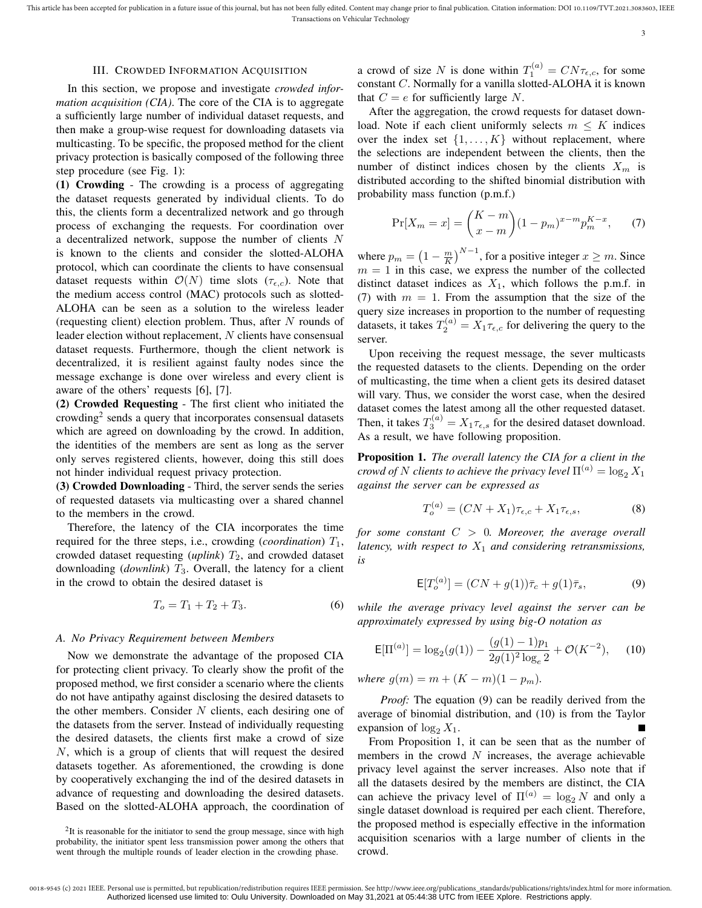## III. CROWDED INFORMATION ACQUISITION

In this section, we propose and investigate *crowded information acquisition (CIA)*. The core of the CIA is to aggregate a sufficiently large number of individual dataset requests, and then make a group-wise request for downloading datasets via multicasting. To be specific, the proposed method for the client privacy protection is basically composed of the following three step procedure (see Fig. 1):

(1) Crowding - The crowding is a process of aggregating the dataset requests generated by individual clients. To do this, the clients form a decentralized network and go through process of exchanging the requests. For coordination over a decentralized network, suppose the number of clients N is known to the clients and consider the slotted-ALOHA protocol, which can coordinate the clients to have consensual dataset requests within  $\mathcal{O}(N)$  time slots  $(\tau_{\epsilon,c})$ . Note that the medium access control (MAC) protocols such as slotted-ALOHA can be seen as a solution to the wireless leader (requesting client) election problem. Thus, after  $N$  rounds of leader election without replacement,  $N$  clients have consensual dataset requests. Furthermore, though the client network is decentralized, it is resilient against faulty nodes since the message exchange is done over wireless and every client is aware of the others' requests [6], [7].

(2) Crowded Requesting - The first client who initiated the crowding<sup>2</sup> sends a query that incorporates consensual datasets which are agreed on downloading by the crowd. In addition, the identities of the members are sent as long as the server only serves registered clients, however, doing this still does not hinder individual request privacy protection.

(3) Crowded Downloading - Third, the server sends the series of requested datasets via multicasting over a shared channel to the members in the crowd.

Therefore, the latency of the CIA incorporates the time required for the three steps, i.e., crowding (*coordination*)  $T_1$ , crowded dataset requesting  $(\text{uplink})$   $T_2$ , and crowded dataset downloading (*downlink*)  $T_3$ . Overall, the latency for a client in the crowd to obtain the desired dataset is

$$
T_o = T_1 + T_2 + T_3. \tag{6}
$$

## *A. No Privacy Requirement between Members*

Now we demonstrate the advantage of the proposed CIA for protecting client privacy. To clearly show the profit of the proposed method, we first consider a scenario where the clients do not have antipathy against disclosing the desired datasets to the other members. Consider  $N$  clients, each desiring one of the datasets from the server. Instead of individually requesting the desired datasets, the clients first make a crowd of size N, which is a group of clients that will request the desired datasets together. As aforementioned, the crowding is done by cooperatively exchanging the ind of the desired datasets in advance of requesting and downloading the desired datasets. Based on the slotted-ALOHA approach, the coordination of

a crowd of size N is done within  $T_1^{(a)} = CN\tau_{\epsilon,c}$ , for some constant C. Normally for a vanilla slotted-ALOHA it is known that  $C = e$  for sufficiently large N.

After the aggregation, the crowd requests for dataset download. Note if each client uniformly selects  $m \leq K$  indices over the index set  $\{1, \ldots, K\}$  without replacement, where the selections are independent between the clients, then the number of distinct indices chosen by the clients  $X_m$  is distributed according to the shifted binomial distribution with probability mass function (p.m.f.)

$$
\Pr[X_m = x] = \binom{K-m}{x-m} (1 - p_m)^{x-m} p_m^{K-x},\tag{7}
$$

where  $p_m = (1 - \frac{m}{K})^{N-1}$ , for a positive integer  $x \ge m$ . Since  $m = 1$  in this case, we express the number of the collected distinct dataset indices as  $X_1$ , which follows the p.m.f. in (7) with  $m = 1$ . From the assumption that the size of the query size increases in proportion to the number of requesting datasets, it takes  $T_2^{(a)} = X_1 \tau_{\epsilon,c}$  for delivering the query to the server.

Upon receiving the request message, the sever multicasts the requested datasets to the clients. Depending on the order of multicasting, the time when a client gets its desired dataset will vary. Thus, we consider the worst case, when the desired dataset comes the latest among all the other requested dataset. Then, it takes  $T_3^{(a)} = X_1 \tau_{\epsilon,s}$  for the desired dataset download. As a result, we have following proposition.

Proposition 1. *The overall latency the CIA for a client in the crowd of* N *clients to achieve the privacy level*  $\Pi^{(a)} = \log_2 X_1$ *against the server can be expressed as*

$$
T_o^{(a)} = (CN + X_1)\tau_{\epsilon,c} + X_1\tau_{\epsilon,s},\tag{8}
$$

*for some constant* C > 0*. Moreover, the average overall latency, with respect to* X<sup>1</sup> *and considering retransmissions, is*

$$
\mathsf{E}[T_o^{(a)}] = (CN + g(1))\bar{\tau}_c + g(1)\bar{\tau}_s,\tag{9}
$$

*while the average privacy level against the server can be approximately expressed by using big-O notation as*

$$
\mathsf{E}[\Pi^{(a)}] = \log_2(g(1)) - \frac{(g(1) - 1)p_1}{2g(1)^2 \log_e 2} + \mathcal{O}(K^{-2}), \quad (10)
$$

*where*  $g(m) = m + (K - m)(1 - p_m)$ .

*Proof:* The equation (9) can be readily derived from the average of binomial distribution, and (10) is from the Taylor expansion of  $\log_2 X_1$ .

From Proposition 1, it can be seen that as the number of members in the crowd  $N$  increases, the average achievable privacy level against the server increases. Also note that if all the datasets desired by the members are distinct, the CIA can achieve the privacy level of  $\Pi^{(a)} = \log_2 N$  and only a single dataset download is required per each client. Therefore, the proposed method is especially effective in the information acquisition scenarios with a large number of clients in the crowd.

<sup>&</sup>lt;sup>2</sup>It is reasonable for the initiator to send the group message, since with high probability, the initiator spent less transmission power among the others that went through the multiple rounds of leader election in the crowding phase.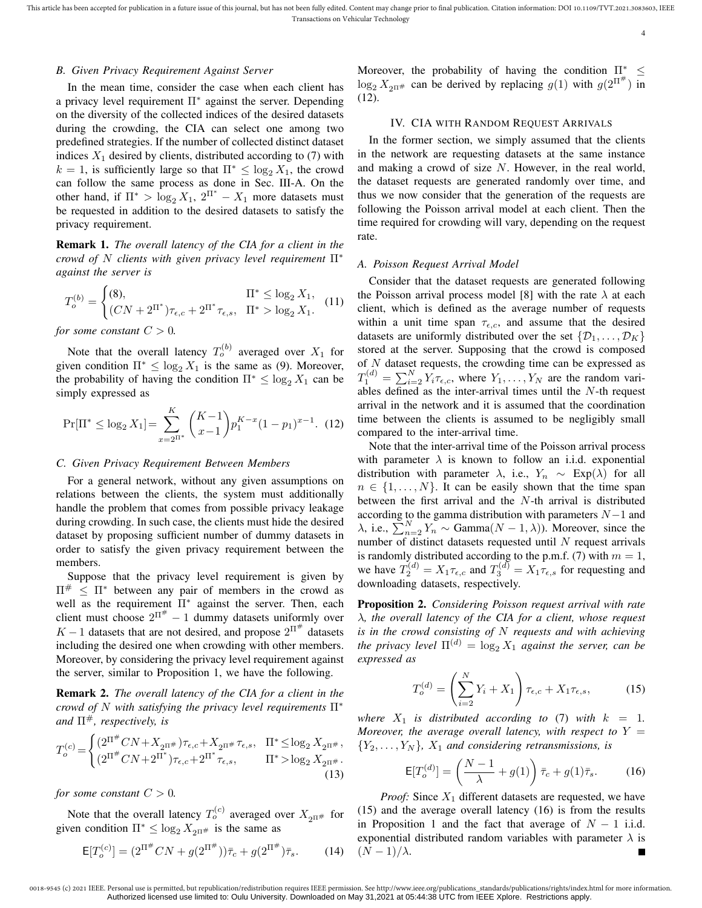#### *B. Given Privacy Requirement Against Server*

In the mean time, consider the case when each client has a privacy level requirement  $\Pi^*$  against the server. Depending on the diversity of the collected indices of the desired datasets during the crowding, the CIA can select one among two predefined strategies. If the number of collected distinct dataset indices  $X_1$  desired by clients, distributed according to (7) with  $k = 1$ , is sufficiently large so that  $\Pi^* \leq \log_2 X_1$ , the crowd can follow the same process as done in Sec. III-A. On the other hand, if  $\Pi^* > \log_2 X_1$ ,  $2^{\Pi^*} - X_1$  more datasets must be requested in addition to the desired datasets to satisfy the privacy requirement.

Remark 1. *The overall latency of the CIA for a client in the crowd of* N *clients with given privacy level requirement* Π<sup>∗</sup> *against the server is*

$$
T_o^{(b)} = \begin{cases} (8), & \Pi^* \le \log_2 X_1, \\ (CN + 2^{\Pi^*})\tau_{\epsilon,c} + 2^{\Pi^*} \tau_{\epsilon,s}, & \Pi^* > \log_2 X_1. \end{cases}
$$
 (11)

*for some constant*  $C > 0$ *.* 

Note that the overall latency  $T_o^{(b)}$  averaged over  $X_1$  for given condition  $\Pi^* \leq \log_2 X_1$  is the same as (9). Moreover, the probability of having the condition  $\Pi^* \leq \log_2 X_1$  can be simply expressed as

$$
\Pr[\Pi^* \le \log_2 X_1] = \sum_{x=2^{\Pi^*}}^{K} \binom{K-1}{x-1} p_1^{K-x} (1-p_1)^{x-1}.
$$
 (12)

#### *C. Given Privacy Requirement Between Members*

For a general network, without any given assumptions on relations between the clients, the system must additionally handle the problem that comes from possible privacy leakage during crowding. In such case, the clients must hide the desired dataset by proposing sufficient number of dummy datasets in order to satisfy the given privacy requirement between the members.

Suppose that the privacy level requirement is given by  $\Pi^{\#} \leq \Pi^*$  between any pair of members in the crowd as well as the requirement  $\Pi^*$  against the server. Then, each client must choose  $2^{\overline{H}^{\#}} - 1$  dummy datasets uniformly over  $K-1$  datasets that are not desired, and propose  $2^{\Pi^{\#}}$  datasets including the desired one when crowding with other members. Moreover, by considering the privacy level requirement against the server, similar to Proposition 1, we have the following.

Remark 2. *The overall latency of the CIA for a client in the crowd of* N *with satisfying the privacy level requirements* Π<sup>∗</sup> *and*  $\Pi^{\#}$ *, respectively, is* 

$$
T_o^{(c)} = \begin{cases} (2^{\Pi^{\#}} CN + X_{2^{\Pi^{\#}}}) \tau_{\epsilon,c} + X_{2^{\Pi^{\#}}} \tau_{\epsilon,s}, & \Pi^* \le \log_2 X_{2^{\Pi^{\#}}}, \\ (2^{\Pi^{\#}} CN + 2^{\Pi^*}) \tau_{\epsilon,c} + 2^{\Pi^*} \tau_{\epsilon,s}, & \Pi^* > \log_2 X_{2^{\Pi^{\#}}}. \end{cases}
$$
(13)

*for some constant*  $C > 0$ *.* 

Note that the overall latency  $T_o^{(c)}$  averaged over  $X_{2^{\Pi^{\#}}}$  for given condition  $\Pi^* \leq \log_2 X_{2n+1}$  is the same as

$$
\mathsf{E}[T_o^{(c)}] = (2^{\Pi^\#} CN + g(2^{\Pi^\#}))\bar{\tau}_c + g(2^{\Pi^\#})\bar{\tau}_s.
$$
 (14)

Moreover, the probability of having the condition  $\Pi^* \leq$  $\log_2 X_{2^{\Pi^{\#}}}$  can be derived by replacing  $g(1)$  with  $g(2^{\Pi^{\#}})$  in (12).

#### IV. CIA WITH RANDOM REQUEST ARRIVALS

In the former section, we simply assumed that the clients in the network are requesting datasets at the same instance and making a crowd of size N. However, in the real world, the dataset requests are generated randomly over time, and thus we now consider that the generation of the requests are following the Poisson arrival model at each client. Then the time required for crowding will vary, depending on the request rate.

### *A. Poisson Request Arrival Model*

Consider that the dataset requests are generated following the Poisson arrival process model [8] with the rate  $\lambda$  at each client, which is defined as the average number of requests within a unit time span  $\tau_{\epsilon,c}$ , and assume that the desired datasets are uniformly distributed over the set  $\{\mathcal{D}_1, \ldots, \mathcal{D}_K\}$ stored at the server. Supposing that the crowd is composed of  $N$  dataset requests, the crowding time can be expressed as  $T_1^{(d)} = \sum_{i=2}^{N} Y_i \tau_{\epsilon,c}$ , where  $Y_1, \ldots, Y_N$  are the random variables defined as the inter-arrival times until the N-th request arrival in the network and it is assumed that the coordination time between the clients is assumed to be negligibly small compared to the inter-arrival time.

Note that the inter-arrival time of the Poisson arrival process with parameter  $\lambda$  is known to follow an i.i.d. exponential distribution with parameter  $\lambda$ , i.e.,  $Y_n \sim \text{Exp}(\lambda)$  for all  $n \in \{1, \ldots, N\}$ . It can be easily shown that the time span between the first arrival and the N-th arrival is distributed according to the gamma distribution with parameters  $N-1$  and  $\lambda$ , i.e.,  $\sum_{n=2}^{N} Y_n \sim \text{Gamma}(N-1, \lambda)$ ). Moreover, since the number of distinct datasets requested until  $N$  request arrivals is randomly distributed according to the p.m.f. (7) with  $m = 1$ , we have  $T_2^{(d)} = X_1 \tau_{\epsilon,c}$  and  $T_3^{(d)} = X_1 \tau_{\epsilon,s}$  for requesting and downloading datasets, respectively.

Proposition 2. *Considering Poisson request arrival with rate* λ*, the overall latency of the CIA for a client, whose request is in the crowd consisting of* N *requests and with achieving the privacy level*  $\Pi^{(d)} = \log_2 X_1$  *against the server, can be expressed as*

$$
T_o^{(d)} = \left(\sum_{i=2}^N Y_i + X_1\right) \tau_{\epsilon,c} + X_1 \tau_{\epsilon,s},\tag{15}
$$

*where*  $X_1$  *is distributed according to* (7) *with*  $k = 1$ *. Moreover, the average overall latency, with respect to*  $Y =$  ${Y_2, \ldots, Y_N}$ ,  $X_1$  *and considering retransmissions, is* 

$$
\mathsf{E}[T_o^{(d)}] = \left(\frac{N-1}{\lambda} + g(1)\right)\bar{\tau}_c + g(1)\bar{\tau}_s.
$$
 (16)

*Proof:* Since  $X_1$  different datasets are requested, we have (15) and the average overall latency (16) is from the results in Proposition 1 and the fact that average of  $N - 1$  i.i.d. exponential distributed random variables with parameter  $\lambda$  is  $(N-1)/\lambda$ .

<sup>0018-9545 (</sup>c) 2021 IEEE. Personal use is permitted, but republication/redistribution requires IEEE permission. See http://www.ieee.org/publications\_standards/publications/rights/index.html for more information Authorized licensed use limited to: Oulu University. Downloaded on May 31,2021 at 05:44:38 UTC from IEEE Xplore. Restrictions apply.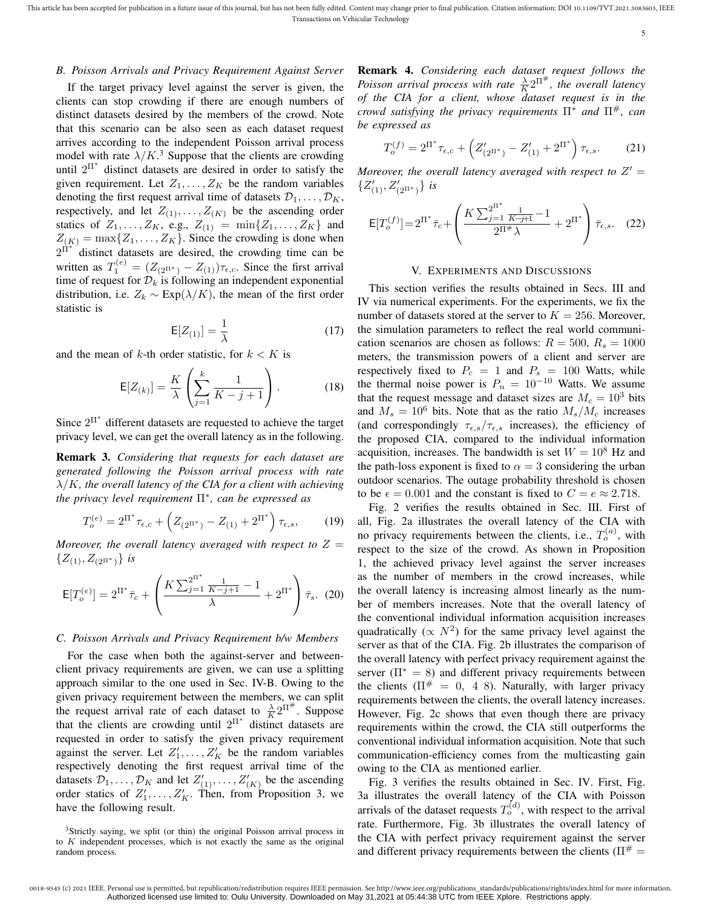## *B. Poisson Arrivals and Privacy Requirement Against Server*

If the target privacy level against the server is given, the clients can stop crowding if there are enough numbers of distinct datasets desired by the members of the crowd. Note that this scenario can be also seen as each dataset request arrives according to the independent Poisson arrival process model with rate  $\lambda/K$ <sup>3</sup>. Suppose that the clients are crowding until  $2^{\Pi^*}$  distinct datasets are desired in order to satisfy the given requirement. Let  $Z_1, \ldots, Z_K$  be the random variables denoting the first request arrival time of datasets  $\mathcal{D}_1, \ldots, \mathcal{D}_K$ , respectively, and let  $Z_{(1)}, \ldots, Z_{(K)}$  be the ascending order statics of  $Z_1, ..., Z_K$ , e.g.,  $Z_{(1)} = \min\{Z_1, ..., Z_K\}$  and  $Z_{(K)} = \max\{Z_1, \ldots, Z_K\}$ . Since the crowding is done when  $2^{\overline{11}^*}$  distinct datasets are desired, the crowding time can be written as  $T_1^{(e)} = (Z_{(2^{\Pi^*})} - Z_{(1)})\tau_{\epsilon,c}$ . Since the first arrival time of request for  $\mathcal{D}_k$  is following an independent exponential distribution, i.e.  $Z_k \sim \text{Exp}(\lambda/K)$ , the mean of the first order statistic is

$$
\mathsf{E}[Z_{(1)}] = \frac{1}{\lambda} \tag{17}
$$

and the mean of k-th order statistic, for  $k < K$  is

$$
\mathsf{E}[Z_{(k)}] = \frac{K}{\lambda} \left( \sum_{j=1}^{k} \frac{1}{K - j + 1} \right). \tag{18}
$$

Since  $2^{\Pi^*}$  different datasets are requested to achieve the target privacy level, we can get the overall latency as in the following.

Remark 3. *Considering that requests for each dataset are generated following the Poisson arrival process with rate* λ/K*, the overall latency of the CIA for a client with achieving the privacy level requirement* Π<sup>∗</sup> *, can be expressed as*

$$
T_o^{(e)} = 2^{\Pi^*} \tau_{\epsilon,c} + \left( Z_{(2^{\Pi^*})} - Z_{(1)} + 2^{\Pi^*} \right) \tau_{\epsilon,s}, \tag{19}
$$

*Moreover, the overall latency averaged with respect to*  $Z =$  $\{Z_{(1)}, Z_{(2^{\Pi^*})}\}\;$ *is* 

$$
\mathsf{E}[T_o^{(e)}] = 2^{\Pi^*} \bar{\tau}_c + \left(\frac{K \sum_{j=1}^{2^{\Pi^*}} \frac{1}{K-j+1} - 1}{\lambda} + 2^{\Pi^*}\right) \bar{\tau}_s. \tag{20}
$$

#### *C. Poisson Arrivals and Privacy Requirement b/w Members*

For the case when both the against-server and betweenclient privacy requirements are given, we can use a splitting approach similar to the one used in Sec. IV-B. Owing to the given privacy requirement between the members, we can split the request arrival rate of each dataset to  $\frac{\lambda}{K} 2^{\Pi^{\#}}$ . Suppose that the clients are crowding until  $2^{\Pi^*}$  distinct datasets are requested in order to satisfy the given privacy requirement against the server. Let  $Z'_1, \ldots, Z'_K$  be the random variables respectively denoting the first request arrival time of the datasets  $\mathcal{D}_1, \ldots, \mathcal{D}_K$  and let  $Z'_{(1)}, \ldots, Z'_{(K)}$  be the ascending order statics of  $Z'_1, \ldots, Z'_K$ . Then, from Proposition 3, we have the following result.

Remark 4. *Considering each dataset request follows the Poisson arrival process with rate*  $\frac{\lambda}{K} 2^{\Pi^{\#}}$ *, the overall latency of the CIA for a client, whose dataset request is in the crowd satisfying the privacy requirements* Π<sup>∗</sup> *and* Π#*, can be expressed as*

$$
T_o^{(f)} = 2^{\Pi^*} \tau_{\epsilon,c} + \left( Z'_{(2^{\Pi^*})} - Z'_{(1)} + 2^{\Pi^*} \right) \tau_{\epsilon,s}.
$$
 (21)

Moreover, the overall latency averaged with respect to  $Z' =$  $\{Z'_{(1)}, Z'_{(2^{\Pi^*})}\}\;$ *is* 

$$
\mathsf{E}[T_o^{(f)}] = 2^{\Pi^*} \bar{\tau}_c + \left( \frac{K \sum_{j=1}^{2^{\Pi^*}} \frac{1}{K - j + 1}}{2^{\Pi^*} \lambda} + 2^{\Pi^*} \right) \bar{\tau}_{\epsilon, s}.
$$
 (22)

#### V. EXPERIMENTS AND DISCUSSIONS

This section verifies the results obtained in Secs. III and IV via numerical experiments. For the experiments, we fix the number of datasets stored at the server to  $K = 256$ . Moreover, the simulation parameters to reflect the real world communication scenarios are chosen as follows:  $R = 500$ ,  $R_s = 1000$ meters, the transmission powers of a client and server are respectively fixed to  $P_c = 1$  and  $P_s = 100$  Watts, while the thermal noise power is  $P_n = 10^{-10}$  Watts. We assume that the request message and dataset sizes are  $M_c = 10^3$  bits and  $M_s = 10^6$  bits. Note that as the ratio  $M_s/M_c$  increases (and correspondingly  $\tau_{\epsilon,s}/\tau_{\epsilon,s}$  increases), the efficiency of the proposed CIA, compared to the individual information acquisition, increases. The bandwidth is set  $W = 10^8$  Hz and the path-loss exponent is fixed to  $\alpha = 3$  considering the urban outdoor scenarios. The outage probability threshold is chosen to be  $\epsilon = 0.001$  and the constant is fixed to  $C = e \approx 2.718$ .

Fig. 2 verifies the results obtained in Sec. III. First of all, Fig. 2a illustrates the overall latency of the CIA with no privacy requirements between the clients, i.e.,  $T_o^{(a)}$ , with respect to the size of the crowd. As shown in Proposition 1, the achieved privacy level against the server increases as the number of members in the crowd increases, while the overall latency is increasing almost linearly as the number of members increases. Note that the overall latency of the conventional individual information acquisition increases quadratically ( $\propto N^2$ ) for the same privacy level against the server as that of the CIA. Fig. 2b illustrates the comparison of the overall latency with perfect privacy requirement against the server  $(\Pi^* = 8)$  and different privacy requirements between the clients ( $\Pi^{\#} = 0$ , 4 8). Naturally, with larger privacy requirements between the clients, the overall latency increases. However, Fig. 2c shows that even though there are privacy requirements within the crowd, the CIA still outperforms the conventional individual information acquisition. Note that such communication-efficiency comes from the multicasting gain owing to the CIA as mentioned earlier.

Fig. 3 verifies the results obtained in Sec. IV. First, Fig. 3a illustrates the overall latency of the CIA with Poisson arrivals of the dataset requests  $T_o^{(d)}$ , with respect to the arrival rate. Furthermore, Fig. 3b illustrates the overall latency of the CIA with perfect privacy requirement against the server and different privacy requirements between the clients ( $\Pi^{\#}$  =

<sup>&</sup>lt;sup>3</sup>Strictly saying, we split (or thin) the original Poisson arrival process in to  $K$  independent processes, which is not exactly the same as the original random process.